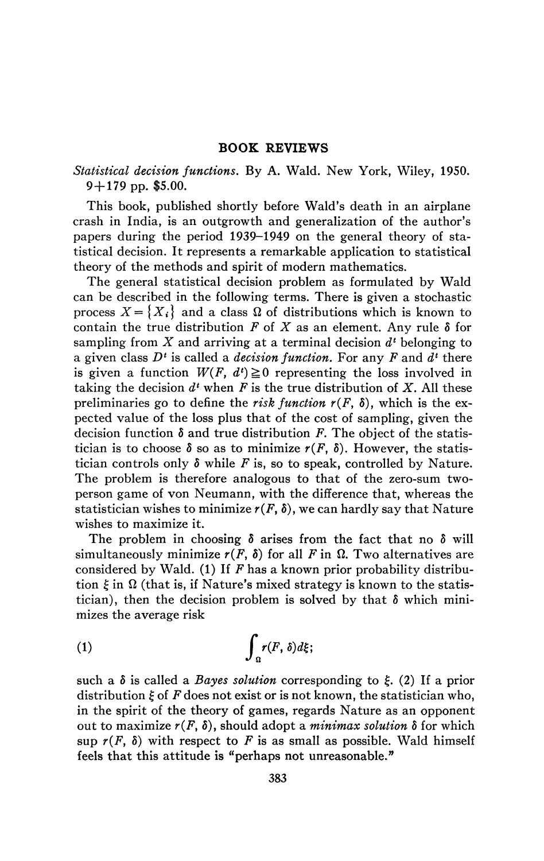## **BOOK REVIEWS**

## *Statistical decision functions.* By A. Wald. New York, Wiley, 1950. 9+179 pp. \$5.00.

This book, published shortly before Wald's death in an airplane crash in India, is an outgrowth and generalization of the author's papers during the period 1939-1949 on the general theory of statistical decision. It represents a remarkable application to statistical theory of the methods and spirit of modern mathematics.

The general statistical decision problem as formulated by Wald can be described in the following terms. There is given a stochastic process  $X = \{X_i\}$  and a class  $\Omega$  of distributions which is known to contain the true distribution  $F$  of  $X$  as an element. Any rule  $\delta$  for sampling from *X* and arriving at a terminal decision *d<sup>l</sup>* belonging to a given class *D<sup>l</sup>* is called a *decision function.* For any *F* and *d\** there is given a function  $W(F, d^t) \ge 0$  representing the loss involved in taking the decision  $d^t$  when  $F$  is the true distribution of  $X$ . All these preliminaries go to define the *risk function*  $r(F, \delta)$ , which is the expected value of the loss plus that of the cost of sampling, given the decision function  $\delta$  and true distribution  $F$ . The object of the statistician is to choose  $\delta$  so as to minimize  $r(F, \delta)$ . However, the statistician controls only  $\delta$  while F is, so to speak, controlled by Nature. The problem is therefore analogous to that of the zero-sum twoperson game of von Neumann, with the difference that, whereas the statistician wishes to minimize  $r(F, \delta)$ , we can hardly say that Nature wishes to maximize it.

The problem in choosing  $\delta$  arises from the fact that no  $\delta$  will simultaneously minimize  $r(F, \delta)$  for all F in  $\Omega$ . Two alternatives are considered by Wald. (1) If *F* has a known prior probability distribution  $\xi$  in  $\Omega$  (that is, if Nature's mixed strategy is known to the statistician), then the decision problem is solved by that  $\delta$  which minimizes the average risk

$$
(1) \hspace{3.1em} \int_{\Omega} r(F, \delta) d\xi;
$$

such a  $\delta$  is called a *Bayes solution* corresponding to  $\xi$ . (2) If a prior distribution £ of *F* does not exist or is not known, the statistician who, in the spirit of the theory of games, regards Nature as an opponent out to maximize  $r(F, \delta)$ , should adopt a *minimax solution*  $\delta$  for which sup  $r(F, \delta)$  with respect to F is as small as possible. Wald himself feels that this attitude is "perhaps not unreasonable."